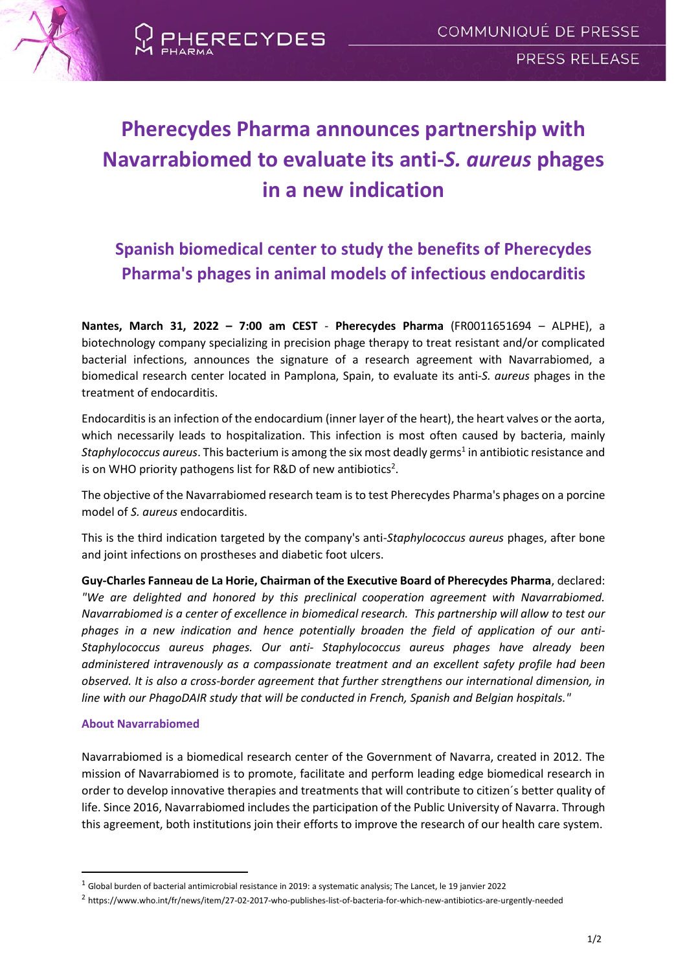

# **Pherecydes Pharma announces partnership with Navarrabiomed to evaluate its anti-***S. aureus* **phages in a new indication**

ERECYDES

## **Spanish biomedical center to study the benefits of Pherecydes Pharma's phages in animal models of infectious endocarditis**

**Nantes, March 31, 2022 – 7:00 am CEST** - **Pherecydes Pharma** (FR0011651694 – ALPHE), a biotechnology company specializing in precision phage therapy to treat resistant and/or complicated bacterial infections, announces the signature of a research agreement with Navarrabiomed, a biomedical research center located in Pamplona, Spain, to evaluate its anti-*S. aureus* phages in the treatment of endocarditis.

Endocarditis is an infection of the endocardium (inner layer of the heart), the heart valves or the aorta, which necessarily leads to hospitalization. This infection is most often caused by bacteria, mainly Staphylococcus aureus. This bacterium is among the six most deadly germs<sup>1</sup> in antibiotic resistance and is on WHO priority pathogens list for R&D of new antibiotics<sup>2</sup>.

The objective of the Navarrabiomed research team is to test Pherecydes Pharma's phages on a porcine model of *S. aureus* endocarditis.

This is the third indication targeted by the company's anti-*Staphylococcus aureus* phages, after bone and joint infections on prostheses and diabetic foot ulcers.

**Guy-Charles Fanneau de La Horie, Chairman of the Executive Board of Pherecydes Pharma**, declared: *"We are delighted and honored by this preclinical cooperation agreement with Navarrabiomed. Navarrabiomed is a center of excellence in biomedical research. This partnership will allow to test our phages in a new indication and hence potentially broaden the field of application of our anti-Staphylococcus aureus phages. Our anti- Staphylococcus aureus phages have already been administered intravenously as a compassionate treatment and an excellent safety profile had been observed. It is also a cross-border agreement that further strengthens our international dimension, in line with our PhagoDAIR study that will be conducted in French, Spanish and Belgian hospitals."* 

### **About Navarrabiomed**

Navarrabiomed is a biomedical research center of the Government of Navarra, created in 2012. The mission of Navarrabiomed is to promote, facilitate and perform leading edge biomedical research in order to develop innovative therapies and treatments that will contribute to citizen´s better quality of life. Since 2016, Navarrabiomed includes the participation of the Public University of Navarra. Through this agreement, both institutions join their efforts to improve the research of our health care system.

 $1$  Global burden of bacterial antimicrobial resistance in 2019: a systematic analysis; The Lancet, le 19 janvier 2022

<sup>2</sup> https://www.who.int/fr/news/item/27-02-2017-who-publishes-list-of-bacteria-for-which-new-antibiotics-are-urgently-needed